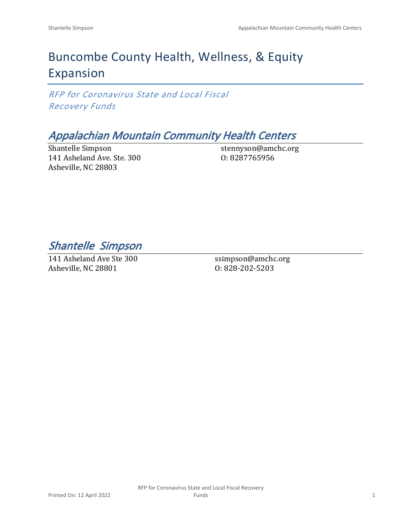# Buncombe County Health, Wellness, & Equity Expansion

*RFP for Coronavirus State and Local Fiscal Recovery Funds*

# *Appalachian Mountain Community Health Centers*

Shantelle Simpson 141 Asheland Ave. Ste. 300 Asheville, NC 28803

stennyson@amchc.org O: 8287765956

*Shantelle Simpson* 

141 Asheland Ave Ste 300 Asheville, NC 28801

ssimpson@amchc.org O: 828-202-5203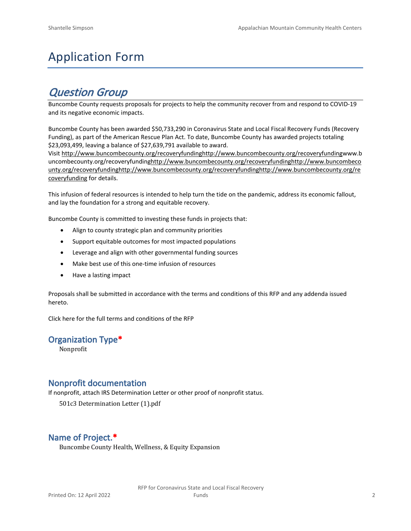# Application Form

# *Question Group*

Buncombe County requests proposals for projects to help the community recover from and respond to COVID-19 and its negative economic impacts.

Buncombe County has been awarded \$50,733,290 in Coronavirus State and Local Fiscal Recovery Funds (Recovery Funding), as part of the American Rescue Plan Act. To date, Buncombe County has awarded projects totaling \$23,093,499, leaving a balance of \$27,639,791 available to award.

Visit [http://www.buncombecounty.org/recoveryfundinghttp://www.buncombecounty.org/recoveryfundingwww.b](http://www.buncombecounty.org/recoveryfunding) [uncombecounty.org/recoveryfundinghttp://www.buncombecounty.org/recoveryfundinghttp://www.buncombeco](http://www.buncombecounty.org/recoveryfunding) [unty.org/recoveryfundinghttp://www.buncombecounty.org/recoveryfundinghttp://www.buncombecounty.org/re](http://www.buncombecounty.org/recoveryfunding) [coveryfunding](http://www.buncombecounty.org/recoveryfunding) for details.

This infusion of federal resources is intended to help turn the tide on the pandemic, address its economic fallout, and lay the foundation for a strong and equitable recovery.

Buncombe County is committed to investing these funds in projects that:

- Align to county strategic plan and community priorities
- Support equitable outcomes for most impacted populations
- Leverage and align with other governmental funding sources
- Make best use of this one-time infusion of resources
- Have a lasting impact

Proposals shall be submitted in accordance with the terms and conditions of this RFP and any addenda issued hereto.

Click [here](https://www.buncombecounty.org/common/purchasing/Buncombe%20Recovery%20Funding%20RFP%202022.pdf) for the full terms and conditions of the RFP

#### **Organization Type\***

Nonprofit

#### **Nonprofit documentation**

If nonprofit, attach IRS Determination Letter or other proof of nonprofit status.

501c3 Determination Letter (1).pdf

# **Name of Project.\***

Buncombe County Health, Wellness, & Equity Expansion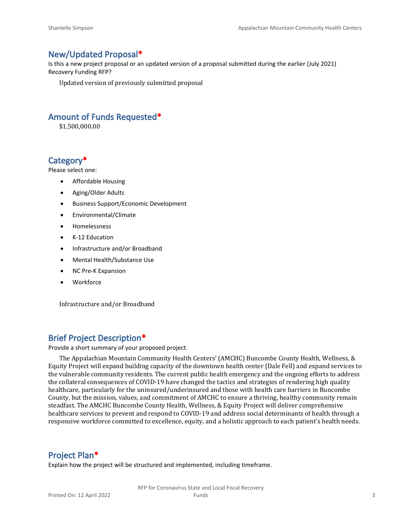#### **New/Updated Proposal\***

Is this a new project proposal or an updated version of a proposal submitted during the earlier (July 2021) Recovery Funding RFP?

Updated version of previously submitted proposal

#### **Amount of Funds Requested\***

\$1,500,000.00

#### **Category\***

Please select one:

- Affordable Housing
- Aging/Older Adults
- Business Support/Economic Development
- Environmental/Climate
- Homelessness
- K-12 Education
- Infrastructure and/or Broadband
- Mental Health/Substance Use
- NC Pre-K Expansion
- Workforce

Infrastructure and/or Broadband

#### **Brief Project Description\***

Provide a short summary of your proposed project.

The Appalachian Mountain Community Health Centers' (AMCHC) Buncombe County Health, Wellness, & Equity Project will expand building capacity of the downtown health center (Dale Fell) and expand services to the vulnerable community residents. The current public health emergency and the ongoing efforts to address the collateral consequences of COVID-19 have changed the tactics and strategies of rendering high quality healthcare, particularly for the uninsured/underinsured and those with health care barriers in Buncombe County, but the mission, values, and commitment of AMCHC to ensure a thriving, healthy community remain steadfast. The AMCHC Buncombe County Health, Wellness, & Equity Project will deliver comprehensive healthcare services to prevent and respond to COVID-19 and address social determinants of health through a responsive workforce committed to excellence, equity, and a holistic approach to each patient's health needs.

# **Project Plan\***

Explain how the project will be structured and implemented, including timeframe.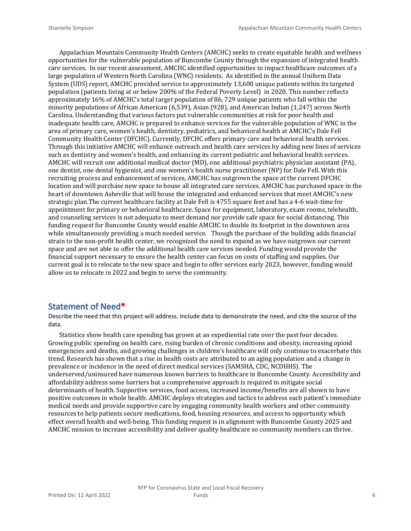Appalachian Mountain Community Health Centers (AMCHC) seeks to create equitable health and wellness opportunities for the vulnerable population of Buncombe County through the expansion of integrated health care services. In our recent assessment, AMCHC identified opportunities to impact healthcare outcomes of a large population of Western North Carolina (WNC) residents. As identified in the annual Uniform Data System (UDS) report, AMCHC provided service to approximately 13,600 unique patients within its targeted population (patients living at or below 200% of the Federal Poverty Level) in 2020. This number reflects approximately 16% of AMCHC's total target population of 86, 729 unique patients who fall within the minority populations of African American (6,539), Asian (928), and American Indian (1,247) across North Carolina. Understanding that various factors put vulnerable communities at risk for poor health and inadequate health care, AMCHC is prepared to enhance services for the vulnerable population of WNC in the area of primary care, women's health, dentistry, pediatrics, and behavioral health at AMCHC's Dale Fell Community Health Center (DFCHC). Currently, DFCHC offers primary care and behavioral health services. Through this initiative AMCHC will enhance outreach and health care services by adding new lines of services such as dentistry and women's health, and enhancing its current pediatric and behavioral health services. AMCHC will recruit one additional medical doctor (MD), one additional psychiatric physician assistant (PA), one dentist, one dental hygienist, and one women's health nurse practitioner (NP) for Dale Fell. With this recruiting process and enhancement of services, AMCHC has outgrown the space at the current DFCHC location and will purchase new space to house all integrated care services. AMCHC has purchased space in the heart of downtown Asheville that will house the integrated and enhanced services that meet AMCHC's new strategic plan.The current healthcare facility at Dale Fell is 4755 square feet and has a 4-6 wait-time for appointment for primary or behavioral healthcare. Space for equipment, laboratory, exam rooms, telehealth, and counseling services is not adequate to meet demand nor provide safe space for social distancing. This funding request for Buncombe County would enable AMCHC to double its footprint in the downtown area while simultaneously providing a much needed service. Though the purchase of the building adds financial strain to the non-profit health center, we recognized the need to expand as we have outgrown our current space and are not able to offer the additional health care services needed. Funding would provide the financial support necessary to ensure the health center can focus on costs of staffing and supplies. Our current goal is to relocate to the new space and begin to offer services early 2023, however, funding would allow us to relocate in 2022 and begin to serve the community.

#### **Statement of Need\***

Describe the need that this project will address. Include data to demonstrate the need, and cite the source of the data.

Statistics show health care spending has grown at an expediential rate over the past four decades. Growing public spending on health care, rising burden of chronic conditions and obesity, increasing opioid emergencies and deaths, and growing challenges in children's healthcare will only continue to exacerbate this trend. Research has shown that a rise in health costs are attributed to an aging population and a change in prevalence or incidence in the need of direct medical services (SAMSHA, CDC, NCDHHS). The underserved/uninsured have numerous known barriers to healthcare in Buncombe County. Accessibility and affordability address some barriers but a comprehensive approach is required to mitigate social determinants of health. Supportive services, food access, increased income/benefits are all shown to have positive outcomes in whole health. AMCHC deploys strategies and tactics to address each patient's immediate medical needs and provide supportive care by engaging community health workers and other community resources to help patients secure medications, food, housing resources, and access to opportunity which effect overall health and well-being. This funding request is in alignment with Buncombe County 2025 and AMCHC mission to increase accessibility and deliver quality healthcare so community members can thrive.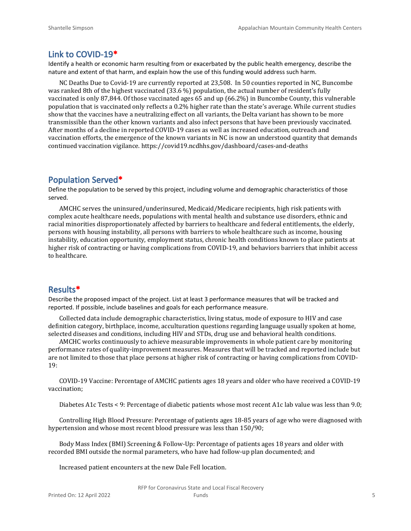#### **Link to COVID-19\***

Identify a health or economic harm resulting from or exacerbated by the public health emergency, describe the nature and extent of that harm, and explain how the use of this funding would address such harm.

NC Deaths Due to Covid-19 are currently reported at 23,508. In 50 counties reported in NC, Buncombe was ranked 8th of the highest vaccinated (33.6 %) population, the actual number of resident's fully vaccinated is only 87,844. Of those vaccinated ages 65 and up (66.2%) in Buncombe County, this vulnerable population that is vaccinated only reflects a 0.2% higher rate than the state's average. While current studies show that the vaccines have a neutralizing effect on all variants, the Delta variant has shown to be more transmissible than the other known variants and also infect persons that have been previously vaccinated. After months of a decline in reported COVID-19 cases as well as increased education, outreach and vaccination efforts, the emergence of the known variants in NC is now an understood quantity that demands continued vaccination vigilance. https://covid19.ncdhhs.gov/dashboard/cases-and-deaths

# **Population Served\***

Define the population to be served by this project, including volume and demographic characteristics of those served.

AMCHC serves the uninsured/underinsured, Medicaid/Medicare recipients, high risk patients with complex acute healthcare needs, populations with mental health and substance use disorders, ethnic and racial minorities disproportionately affected by barriers to healthcare and federal entitlements, the elderly, persons with housing instability, all persons with barriers to whole healthcare such as income, housing instability, education opportunity, employment status, chronic health conditions known to place patients at higher risk of contracting or having complications from COVID-19, and behaviors barriers that inhibit access to healthcare.

# **Results\***

Describe the proposed impact of the project. List at least 3 performance measures that will be tracked and reported. If possible, include baselines and goals for each performance measure.

Collected data include demographic characteristics, living status, mode of exposure to HIV and case definition category, birthplace, income, acculturation questions regarding language usually spoken at home, selected diseases and conditions, including HIV and STDs, drug use and behavioral health conditions.

AMCHC works continuously to achieve measurable improvements in whole patient care by monitoring performance rates of quality-improvement measures. Measures that will be tracked and reported include but are not limited to those that place persons at higher risk of contracting or having complications from COVID-19:

COVID-19 Vaccine: Percentage of AMCHC patients ages 18 years and older who have received a COVID-19 vaccination;

Diabetes A1c Tests < 9: Percentage of diabetic patients whose most recent A1c lab value was less than 9.0;

Controlling High Blood Pressure: Percentage of patients ages 18-85 years of age who were diagnosed with hypertension and whose most recent blood pressure was less than 150/90;

Body Mass Index (BMI) Screening & Follow-Up: Percentage of patients ages 18 years and older with recorded BMI outside the normal parameters, who have had follow-up plan documented; and

Increased patient encounters at the new Dale Fell location.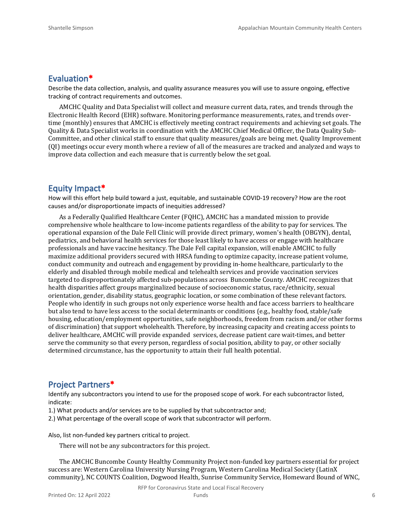#### **Evaluation\***

Describe the data collection, analysis, and quality assurance measures you will use to assure ongoing, effective tracking of contract requirements and outcomes.

AMCHC Quality and Data Specialist will collect and measure current data, rates, and trends through the Electronic Health Record (EHR) software. Monitoring performance measurements, rates, and trends overtime (monthly) ensures that AMCHC is effectively meeting contract requirements and achieving set goals. The Quality & Data Specialist works in coordination with the AMCHC Chief Medical Officer, the Data Quality Sub-Committee, and other clinical staff to ensure that quality measures/goals are being met. Quality Improvement (QI) meetings occur every month where a review of all of the measures are tracked and analyzed and ways to improve data collection and each measure that is currently below the set goal.

# **Equity Impact\***

How will this effort help build toward a just, equitable, and sustainable COVID-19 recovery? How are the root causes and/or disproportionate impacts of inequities addressed?

As a Federally Qualified Healthcare Center (FQHC), AMCHC has a mandated mission to provide comprehensive whole healthcare to low-income patients regardless of the ability to pay for services. The operational expansion of the Dale Fell Clinic will provide direct primary, women's health (OBGYN), dental, pediatrics, and behavioral health services for those least likely to have access or engage with healthcare professionals and have vaccine hesitancy. The Dale Fell capital expansion, will enable AMCHC to fully maximize additional providers secured with HRSA funding to optimize capacity, increase patient volume, conduct community and outreach and engagement by providing in-home healthcare, particularly to the elderly and disabled through mobile medical and telehealth services and provide vaccination services targeted to disproportionately affected sub-populations across Buncombe County. AMCHC recognizes that health disparities affect groups marginalized because of socioeconomic status, race/ethnicity, sexual orientation, gender, disability status, geographic location, or some combination of these relevant factors. People who identify in such groups not only experience worse health and face access barriers to healthcare but also tend to have less access to the social determinants or conditions (e.g., healthy food, stable/safe housing, education/employment opportunities, safe neighborhoods, freedom from racism and/or other forms of discrimination) that support wholehealth. Therefore, by increasing capacity and creating access points to deliver healthcare, AMCHC will provide expanded services, decrease patient care wait-times, and better serve the community so that every person, regardless of social position, ability to pay, or other socially determined circumstance, has the opportunity to attain their full health potential.

# **Project Partners\***

Identify any subcontractors you intend to use for the proposed scope of work. For each subcontractor listed, indicate:

- 1.) What products and/or services are to be supplied by that subcontractor and;
- 2.) What percentage of the overall scope of work that subcontractor will perform.

Also, list non-funded key partners critical to project.

There will not be any subcontractors for this project.

The AMCHC Buncombe County Healthy Community Project non-funded key partners essential for project success are: Western Carolina University Nursing Program, Western Carolina Medical Society (LatinX community), NC COUNTS Coalition, Dogwood Health, Sunrise Community Service, Homeward Bound of WNC,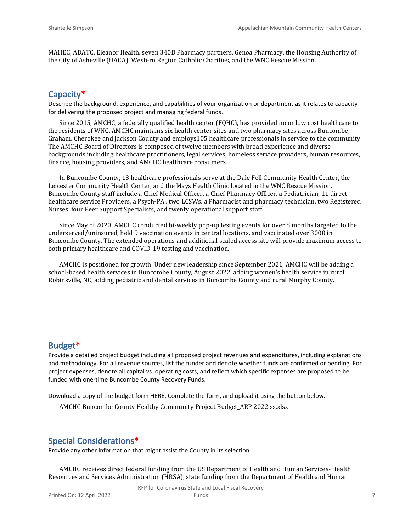MAHEC, ADATC, Eleanor Health, seven 340B Pharmacy partners, Genoa Pharmacy, the Housing Authority of the City of Asheville (HACA), Western Region Catholic Charities, and the WNC Rescue Mission.

# **Capacity\***

Describe the background, experience, and capabilities of your organization or department as it relates to capacity for delivering the proposed project and managing federal funds.

Since 2015, AMCHC, a federally qualified health center (FQHC), has provided no or low cost healthcare to the residents of WNC. AMCHC maintains six health center sites and two pharmacy sites across Buncombe, Graham, Cherokee and Jackson County and employs105 healthcare professionals in service to the community. The AMCHC Board of Directors is composed of twelve members with broad experience and diverse backgrounds including healthcare practitioners, legal services, homeless service providers, human resources, finance, housing providers, and AMCHC healthcare consumers.

In Buncombe County, 13 healthcare professionals serve at the Dale Fell Community Health Center, the Leicester Community Health Center, and the Mays Health Clinic located in the WNC Rescue Mission. Buncombe County staff include a Chief Medical Officer, a Chief Pharmacy Officer, a Pediatrician, 11 direct healthcare service Providers, a Psych-PA , two LCSWs, a Pharmacist and pharmacy technician, two Registered Nurses, four Peer Support Specialists, and twenty operational support staff.

Since May of 2020, AMCHC conducted bi-weekly pop-up testing events for over 8 months targeted to the underserved/uninsured, held 9 vaccination events in central locations, and vaccinated over 3000 in Buncombe County. The extended operations and additional scaled access site will provide maximum access to both primary healthcare and COVID-19 testing and vaccination.

AMCHC is positioned for growth. Under new leadership since September 2021, AMCHC will be adding a school-based health services in Buncombe County, August 2022, adding women's health service in rural Robinsville, NC, adding pediatric and dental services in Buncombe County and rural Murphy County.

# **Budget\***

Provide a detailed project budget including all proposed project revenues and expenditures, including explanations and methodology. For all revenue sources, list the funder and denote whether funds are confirmed or pending. For project expenses, denote all capital vs. operating costs, and reflect which specific expenses are proposed to be funded with one-time Buncombe County Recovery Funds.

Download a copy of the budget form [HERE](https://buncombecounty.org/common/community-investment/grants/early-childhood-education/Recovery-Funds-budget-template.xlsx). Complete the form, and upload it using the button below.

AMCHC Buncombe County Healthy Community Project Budget\_ARP 2022 ss.xlsx

# **Special Considerations\***

Provide any other information that might assist the County in its selection.

AMCHC receives direct federal funding from the US Department of Health and Human Services- Health Resources and Services Administration (HRSA), state funding from the Department of Health and Human

RFP for Coronavirus State and Local Fiscal Recovery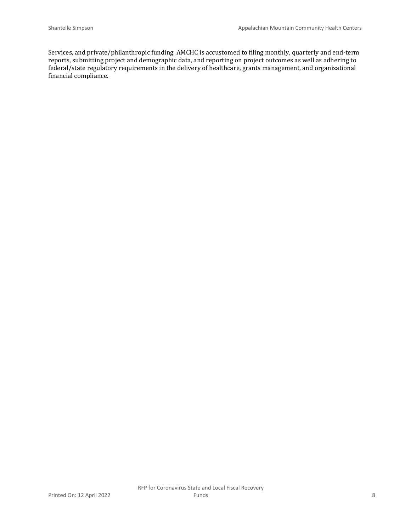Services, and private/philanthropic funding. AMCHC is accustomed to filing monthly, quarterly and end-term reports, submitting project and demographic data, and reporting on project outcomes as well as adhering to federal/state regulatory requirements in the delivery of healthcare, grants management, and organizational financial compliance.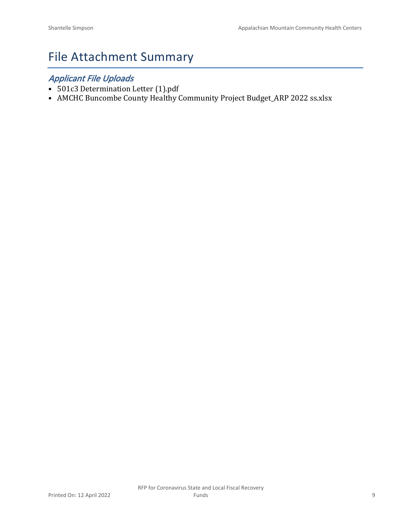# File Attachment Summary

# *Applicant File Uploads*

- 501c3 Determination Letter (1).pdf
- AMCHC Buncombe County Healthy Community Project Budget\_ARP 2022 ss.xlsx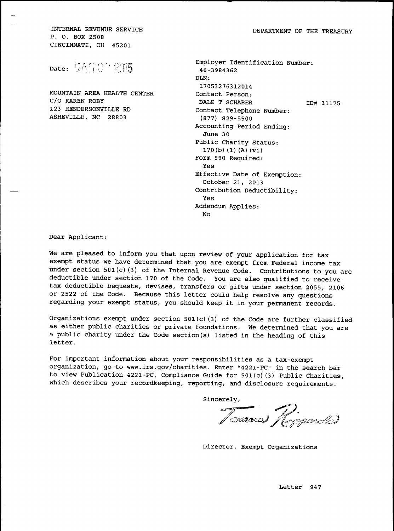DEPARTMENT OF THE TREASURY

INTERNAL REVENUE SERVICE P. O. BOX 2508 CINCINNATI, OH 45201

Date: 105002015

MOUNTAIN AREA HEALTH CENTER C/O KAREN ROBY 123 HENDERSONVILLE RD ASHEVILLE, NC 28803

| Employer Identification Number:<br>46-3984362 |
|-----------------------------------------------|
| DI.N:                                         |
| 17053276312014                                |
| Contact Person:                               |
| DALE T SCHABER<br>ID# 31175                   |
| Contact Telephone Number:                     |
| $(877)$ 829-5500                              |
| Accounting Period Ending:                     |
| June 30                                       |
| Public Charity Status:                        |
| 170(b) (1) (A) (vi)                           |
| Form 990 Required:                            |
| Yes                                           |
| Effective Date of Exemption:                  |
| October 21, 2013                              |
| Contribution Deductibility:                   |
| Yes                                           |
| Addendum Applies:                             |
| Nο                                            |
|                                               |

Dear Applicant:

We are pleased to inform you that upon review of your application for tax exempt status we have determined that you are exempt from Federal income tax under section 501(c)(3) of the Internal Revenue Code. Contributions to you are deductible under section 170 of the Code. You are also qualified to receive tax deductible bequests, devises, transfers or gifts under section 2055, 2106 or 2522 of the Code. Because this letter could help resolve any questions regarding your exempt status, you should keep it in your permanent records.

Organizations exempt under section 501(c)(3) of the Code are further classified as either public charities or private foundations. We determined that you are a public charity under the Code section(s) listed in the heading of this letter.

For important information about your responsibilities as a tax-exempt organization, go to www.irs.gov/charities. Enter "4221-PC" in the search bar to view Publication 4221-PC, Compliance Guide for 501(c)(3) Public Charities, which describes your recordkeeping, reporting, and disclosure requirements.

Sincerely,

Tommes Regardes

Director, Exempt Organizations

Letter 947